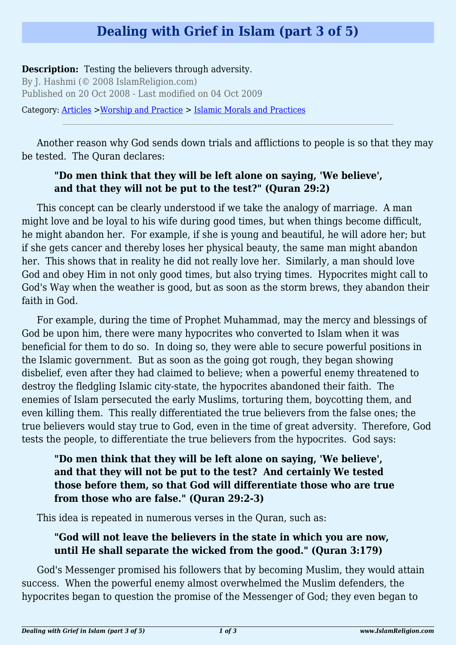# **Dealing with Grief in Islam (part 3 of 5)**

#### **Description:** Testing the believers through adversity.

By J. Hashmi (© 2008 IslamReligion.com) Published on 20 Oct 2008 - Last modified on 04 Oct 2009

Category: [Articles](http://www.islamreligion.com/articles/) >[Worship and Practice](http://www.islamreligion.com/category/55/) > [Islamic Morals and Practices](http://www.islamreligion.com/category/58/)

Another reason why God sends down trials and afflictions to people is so that they may be tested. The Quran declares:

## **"Do men think that they will be left alone on saying, 'We believe', and that they will not be put to the test?" (Quran 29:2)**

This concept can be clearly understood if we take the analogy of marriage. A man might love and be loyal to his wife during good times, but when things become difficult, he might abandon her. For example, if she is young and beautiful, he will adore her; but if she gets cancer and thereby loses her physical beauty, the same man might abandon her. This shows that in reality he did not really love her. Similarly, a man should love God and obey Him in not only good times, but also trying times. Hypocrites might call to God's Way when the weather is good, but as soon as the storm brews, they abandon their faith in God.

For example, during the time of Prophet Muhammad, may the mercy and blessings of God be upon him, there were many hypocrites who converted to Islam when it was beneficial for them to do so. In doing so, they were able to secure powerful positions in the Islamic government. But as soon as the going got rough, they began showing disbelief, even after they had claimed to believe; when a powerful enemy threatened to destroy the fledgling Islamic city-state, the hypocrites abandoned their faith. The enemies of Islam persecuted the early Muslims, torturing them, boycotting them, and even killing them. This really differentiated the true believers from the false ones; the true believers would stay true to God, even in the time of great adversity. Therefore, God tests the people, to differentiate the true believers from the hypocrites. God says:

# **"Do men think that they will be left alone on saying, 'We believe', and that they will not be put to the test? And certainly We tested those before them, so that God will differentiate those who are true from those who are false." (Quran 29:2-3)**

This idea is repeated in numerous verses in the Quran, such as:

#### **"God will not leave the believers in the state in which you are now, until He shall separate the wicked from the good." (Quran 3:179)**

God's Messenger promised his followers that by becoming Muslim, they would attain success. When the powerful enemy almost overwhelmed the Muslim defenders, the hypocrites began to question the promise of the Messenger of God; they even began to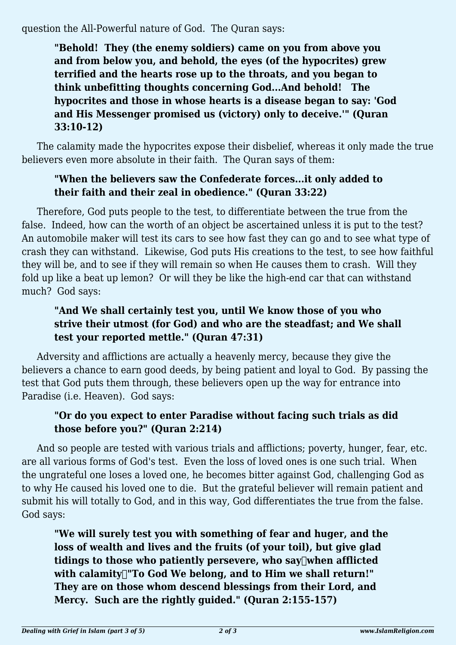question the All-Powerful nature of God. The Quran says:

**"Behold! They (the enemy soldiers) came on you from above you and from below you, and behold, the eyes (of the hypocrites) grew terrified and the hearts rose up to the throats, and you began to think unbefitting thoughts concerning God...And behold! The hypocrites and those in whose hearts is a disease began to say: 'God and His Messenger promised us (victory) only to deceive.'" (Quran 33:10-12)**

The calamity made the hypocrites expose their disbelief, whereas it only made the true believers even more absolute in their faith. The Quran says of them:

## **"When the believers saw the Confederate forces...it only added to their faith and their zeal in obedience." (Quran 33:22)**

Therefore, God puts people to the test, to differentiate between the true from the false. Indeed, how can the worth of an object be ascertained unless it is put to the test? An automobile maker will test its cars to see how fast they can go and to see what type of crash they can withstand. Likewise, God puts His creations to the test, to see how faithful they will be, and to see if they will remain so when He causes them to crash. Will they fold up like a beat up lemon? Or will they be like the high-end car that can withstand much? God says:

# **"And We shall certainly test you, until We know those of you who strive their utmost (for God) and who are the steadfast; and We shall test your reported mettle." (Quran 47:31)**

Adversity and afflictions are actually a heavenly mercy, because they give the believers a chance to earn good deeds, by being patient and loyal to God. By passing the test that God puts them through, these believers open up the way for entrance into Paradise (i.e. Heaven). God says:

# **"Or do you expect to enter Paradise without facing such trials as did those before you?" (Quran 2:214)**

And so people are tested with various trials and afflictions; poverty, hunger, fear, etc. are all various forms of God's test. Even the loss of loved ones is one such trial. When the ungrateful one loses a loved one, he becomes bitter against God, challenging God as to why He caused his loved one to die. But the grateful believer will remain patient and submit his will totally to God, and in this way, God differentiates the true from the false. God says:

**"We will surely test you with something of fear and huger, and the loss of wealth and lives and the fruits (of your toil), but give glad** tidings to those who patiently persevere, who say[when afflicted with calamity<sup>-</sup>To God We belong, and to Him we shall return!" **They are on those whom descend blessings from their Lord, and Mercy. Such are the rightly guided." (Quran 2:155-157)**